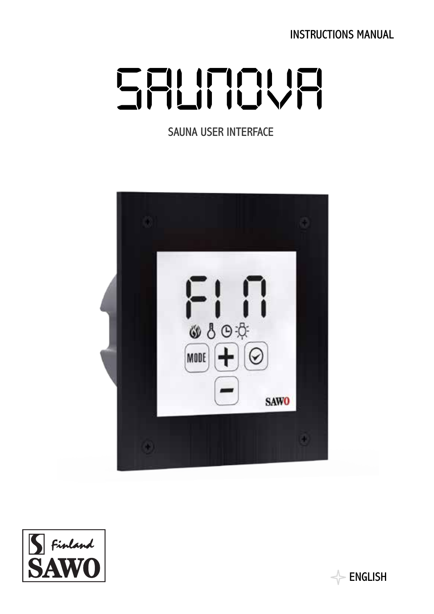INSTRUCTIONS MANUAL

# SALINOVA

SAUNA USER INTERFACE





 $\Rightarrow$  english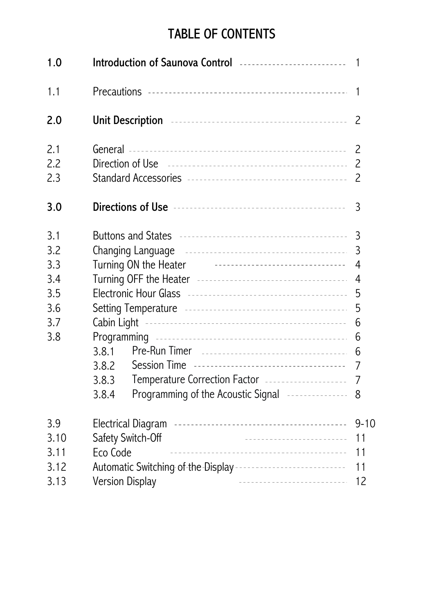# TABLE OF CONTENTS

| 1.0  |                                                                                                  | 1        |  |
|------|--------------------------------------------------------------------------------------------------|----------|--|
| 1.1  |                                                                                                  | 1        |  |
| 2.0  | Unit Description <b>continuous</b> contract the contract of the contract of the Unit Description | 2        |  |
| 2.1  |                                                                                                  | 2        |  |
| 2.2  |                                                                                                  | 2        |  |
| 2.3  |                                                                                                  | 2        |  |
| 3.0  |                                                                                                  | 3        |  |
| 3.1  | Buttons and States <b>Accelerate and States Contract Contract Property</b>                       | 3        |  |
| 3.2  | Changing Language <b>continues and continues and continues and continues</b><br>3                |          |  |
| 3.3  | Turning ON the Heater <b>Construction</b> Construction of Turning ON<br>4                        |          |  |
| 3.4  | 4                                                                                                |          |  |
| 3.5  | 5                                                                                                |          |  |
| 3.6  | 5                                                                                                |          |  |
| 3.7  | 6                                                                                                |          |  |
| 3.8  |                                                                                                  | 6        |  |
|      | 3.8.1                                                                                            | 6        |  |
|      | 3.8.2                                                                                            | 7        |  |
|      | 3.8.3                                                                                            | 7        |  |
|      | 3.8.4                                                                                            | 8        |  |
| 3.9  |                                                                                                  | $9 - 10$ |  |
| 3.10 | Safety Switch-Off<br>11                                                                          |          |  |
| 3.11 | Eco Code<br>11                                                                                   |          |  |
| 3.12 | 11                                                                                               |          |  |
| 3.13 | Version Display<br>12                                                                            |          |  |
|      |                                                                                                  |          |  |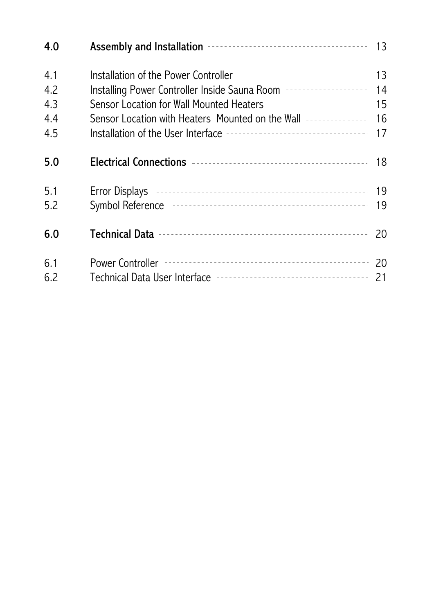| 4.0                             |                                                                                                                                                                                                                                                                                     |                            |
|---------------------------------|-------------------------------------------------------------------------------------------------------------------------------------------------------------------------------------------------------------------------------------------------------------------------------------|----------------------------|
| 4.1<br>4.2<br>4.3<br>4.4<br>4.5 | Installation of the Power Controller --------------------------------<br>Installing Power Controller Inside Sauna Room --------------------<br>Sensor Location for Wall Mounted Heaters -----------------------<br>Sensor Location with Heaters Mounted on the Wall --------------- | 13<br>14<br>15<br>16<br>17 |
| 5.0                             |                                                                                                                                                                                                                                                                                     | 18                         |
| 5.1<br>5.2                      |                                                                                                                                                                                                                                                                                     | 19                         |
| 6.0                             |                                                                                                                                                                                                                                                                                     | 20                         |
| 6.1<br>6.2                      |                                                                                                                                                                                                                                                                                     | 20<br>21                   |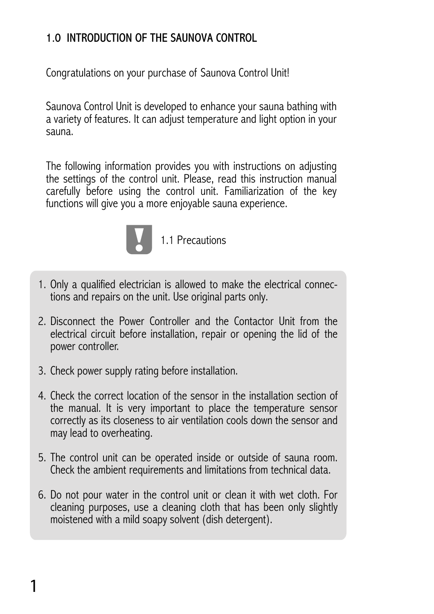# 1.0 INTRODUCTION OF THE SAUNOVA CONTROL

Congratulations on your purchase of Saunova Control Unit!

Saunova Control Unit is developed to enhance your sauna bathing with a variety of features. It can adjust temperature and light option in your sauna.

The following information provides you with instructions on adjusting the settings of the control unit. Please, read this instruction manual carefully before using the control unit. Familiarization of the key functions will give you a more enjoyable sauna experience.



1.1 Precautions

- 1. Only a qualified electrician is allowed to make the electrical connec- tions and repairs on the unit. Use original parts only.
- 2. Disconnect the Power Controller and the Contactor Unit from the electrical circuit before installation, repair or opening the lid of the power controller.
- 3. Check power supply rating before installation.
- 4. Check the correct location of the sensor in the installation section of the manual. It is very important to place the temperature sensor correctly as its closeness to air ventilation cools down the sensor and may lead to overheating.
- 5. The control unit can be operated inside or outside of sauna room. Check the ambient requirements and limitations from technical data.
- 6. Do not pour water in the control unit or clean it with wet cloth. For cleaning purposes, use a cleaning cloth that has been only slightly moistened with a mild soapy solvent (dish detergent).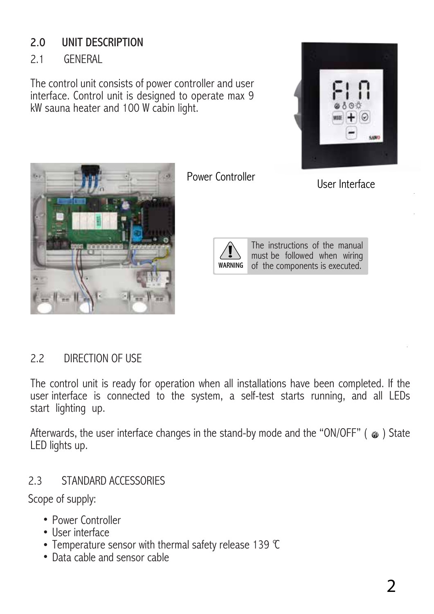# 2.0 UNIT DESCRIPTION

2.1 GENERAL

The control unit consists of power controller and user interface. Control unit is designed to operate max 9 kW sauna heater and 100 W cabin light.





Power Controller User Interface



The instructions of the manual must be followed when wiring of the components is executed.

# 2.2 DIRECTION OF USE

The control unit is ready for operation when all installations have been completed. If the user interface is connected to the system, a self-test starts running, and all LEDs start lighting up.

Afterwards, the user interface changes in the stand-by mode and the "ON/OFF" ( $\circ$ ) State LED lights up.

# 2.3 STANDARD ACCESSORIES

Scope of supply:

- Power Controller
- User interface
- Temperature sensor with thermal safety release 139 °C
- Data cable and sensor cable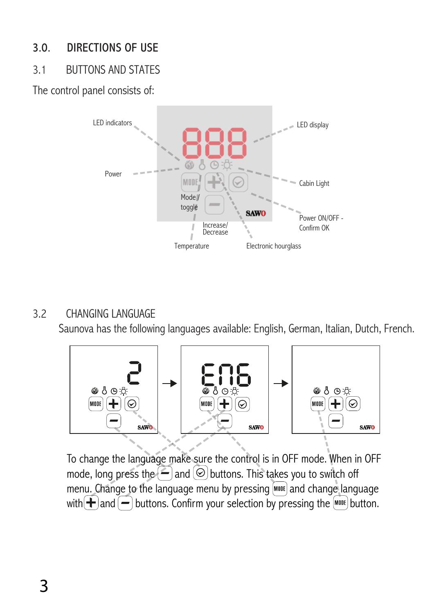# 3.0. DIRECTIONS OF USE

# 3.1 BUTTONS AND STATES

The control panel consists of:



## 3.2 CHANGING LANGUAGE

Saunova has the following languages available: English, German, Italian, Dutch, French.



To change the language make sure the control is in OFF mode. When in OFF mode, long press the  $\left( \frac{1}{2} \right)$  and  $\left( \odot \right)$  buttons. This takes you to switch off menu. Change to the language menu by pressing **MODE** and change language with  $\leftarrow$  and  $\leftarrow$  buttons. Confirm your selection by pressing the  $\left[\text{MöBF}\right]$  button.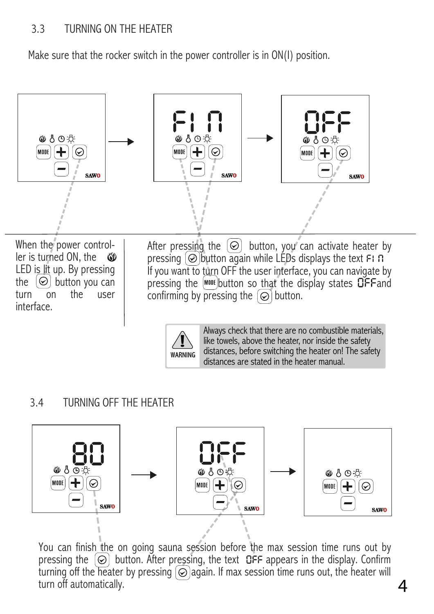## 3.3 TURNING ON THE HEATER

Make sure that the rocker switch in the power controller is in ON(I) position.



When the power controller is turned ON, the - 69 LED is lit up. By pressing the  $\Theta$  button you can turn on the user interface.

After pressing the  $\Theta$  button, you can activate heater by pressing  $\odot$  button again while LEDs displays the text FI n If you want to turn OFF the user interface, you can navigate by pressing the  $[$ <sup>MODE</sup> button so that the display states  $D$ FF and confirming by pressing the  $\circledcirc$  button.



Always check that there are no combustible materials, like towels, above the heater, nor inside the safety distances, before switching the heater on! The safety distances are stated in the heater manual.

*4*

3.4 TURNING OFF THE HEATER



You can finish the on going sauna session before the max session time runs out by pressing the  $\Theta$  button. After pressing, the text  $\mathsf{DFF}$  appears in the display. Confirm turning off the heater by pressing  $\odot$  again. If max session time runs out, the heater will turn off automatically.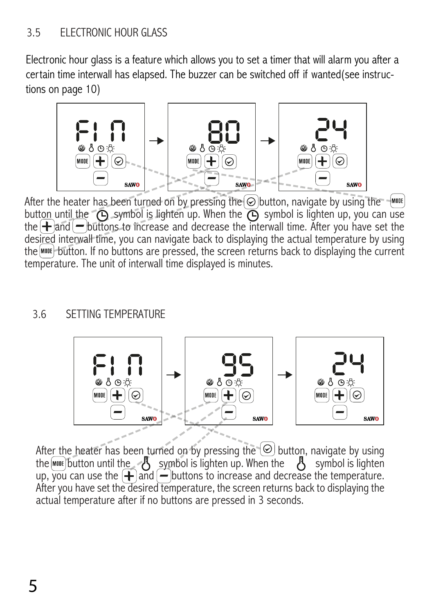## 3.5 ELECTRONIC HOUR GLASS

Electronic hour glass is a feature which allows you to set a timer that will alarm you after a certain time interwall has elapsed. The buzzer can be switched off if wanted(see instructions on page 10)



After the heater has been turned on by pressing the  $\odot$  button, navigate by using the  $\mathbb{R}^{n}$ button until the  $\bigcirc$  symbol is lighten up. When the  $\bigcirc$  symbol is lighten up, you can use the  $\pm$  and  $\pm$  buttons to increase and decrease the interwall time. After you have set the desired interwall time, you can navigate back to displaying the actual temperature by using the button. If no buttons are pressed, the screen returns back to displaying the current temperature. The unit of interwall time displayed is minutes.

## 3.6 SETTING TEMPERATURE



After the heater has been turned on by pressing the  $\circledcirc$  button, navigate by using the  $\text{Momentum}$  the symbol is lighten up. When the  $\beta$  symbol is lighten up, you can use the  $\bigoplus$  and  $\bigoplus$  buttons to increase and decrease the temperature. After you have set the desired temperature, the screen returns back to displaying the actual temperature after if no buttons are pressed in 3 seconds.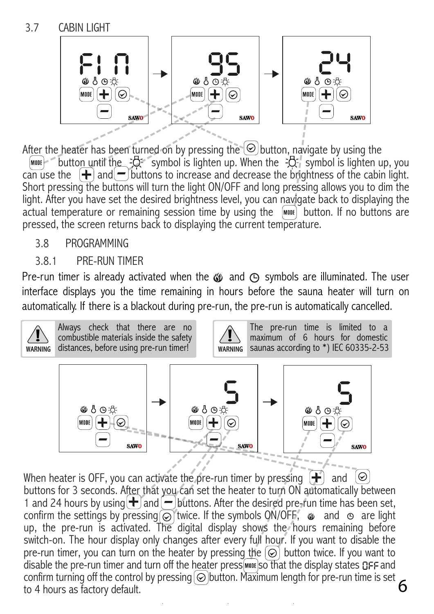

After the heater has been turned on by pressing the  $\odot$  button, navigate by using the  $\boxed{\text{more}}$  button until the  $\frac{1}{2}$  symbol is lighten up. When the  $\frac{1}{2}$  symbol is lighten up, you

can use the  $\left| \right\rangle$  and  $\left| \right\rangle$  buttons to increase and decrease the brightness of the cabin light. Short pressing the buttons will turn the light ON/OFF and long pressing allows you to dim the light. After you have set the desired brightness level, you can navigate back to displaying the actual temperature or remaining session time by using the wood button. If no buttons are pressed, the screen returns back to displaying the current temperature.

## 3.8 PROGRAMMING

## 3.8.1 PRE-RUN TIMER

Pre-run timer is already activated when the  $\omega$  and  $\Theta$  symbols are illuminated. The user interface displays you the time remaining in hours before the sauna heater will turn on automatically. If there is a blackout during pre-run, the pre-run is automatically cancelled.



When heater is OFF, you can activate the pre-run timer by pressing  $\left( \bigoplus \right)$  and  $\left( \emptyset \right)$ buttons for 3 seconds. After that you can set the heater to turn ON automatically between 1 and 24 hours by using  $\bigoplus$  and  $\bigoplus$  buttons. After the desired pre-run time has been set, confirm the settings by pressing  $\overline{\odot}$  twice. If the symbols ON/OFF,  $\bullet$  and  $\circ$  are light up, the pre-run is activated. The digital display shows the hours remaining before switch-on. The hour display only changes after every full hour. If you want to disable the pre-run timer, you can turn on the heater by pressing the  $\odot$  button twice. If you want to disable the pre-run timer and turn off the heater press woot so that the display states GFF and confirm turning off the control by pressing  $\odot$  button. Maximum length for pre-run time is set to 4 hours as factory default.

*6*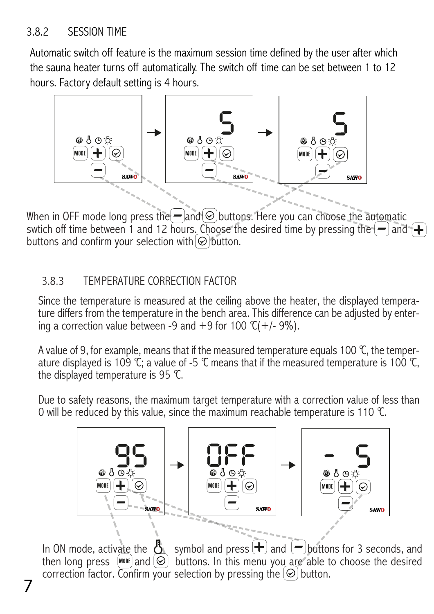## 3.8.2 SESSION TIME

Automatic switch off feature is the maximum session time defined by the user after which the sauna heater turns off automatically. The switch off time can be set between 1 to 12 hours. Factory default setting is 4 hours.



When in OFF mode long press the  $=$  and  $\odot$  buttons. Here you can choose the automatic swtich off time between 1 and 12 hours. Choose the desired time by pressing the  $\left\vert -\right\rangle$  and  $\left\vert +\right\rangle$ buttons and confirm your selection with  $\odot$  button.

## 3.8.3 TEMPERATURE CORRECTION FACTOR

Since the temperature is measured at the ceiling above the heater, the displayed temperature differs from the temperature in the bench area. This difference can be adjusted by entering a correction value between -9 and +9

A value of 9, for example, means that if the measured temperature equals 100 °C, the temperature is 109 °C; a value of -5 °C means that if the measured temperature is 100 °C, the displayed temperature is 95 °C.

Due to safety reasons, the maximum target temperature with a correction value of less than 0 will be reduced by this value, since the maximum reachable temperature is 110 °C.



In ON mode, activate the  $\delta$  symbol and press  $\bigoplus$  and  $\bigcup$  buttons for 3 seconds, and then long press  $\sqrt{MMDR}$  and  $\odot$  buttons. In this menu you are able to choose the desired correction factor. Confirm your selection by pressing the  $\Theta$  button.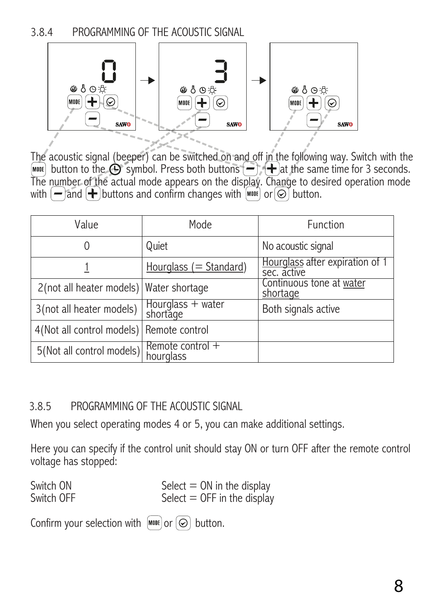3.8.4 PROGRAMMING OF THE ACOUSTIC SIGNAL



The acoustic signal (beeper) can be switched on and off in the following way. Switch with the  $[www]$  button to the  $\bigoplus$  symbol. Press both buttons  $\bigoplus$   $\bigoplus$  at the same time for 3 seconds.<br>The number of the actual mode appears on the display. Change to desired operation mode with  $\left(-\right)$  and  $\left(-\right)$  buttons and confirm changes with  $\left[\text{mod}\right]$  or  $\odot$  button.

| Value                                   | Mode                            | Function                                       |
|-----------------------------------------|---------------------------------|------------------------------------------------|
|                                         | Quiet                           | No acoustic signal                             |
|                                         | Hourglass $(= Standard)$        | Hourglass after expiration of 1<br>sec. active |
| 2(not all heater models) Water shortage |                                 | Continuous tone at water<br><u>shortage</u>    |
| 3(not all heater models)                | Hourglass + water<br>shortage   | Both signals active                            |
| 4(Not all control models)               | Remote control                  |                                                |
| 5(Not all control models)               | Remote control $+$<br>hourglass |                                                |

## 3.8.5 PROGRAMMING OF THE ACOUSTIC SIGNAL

When you select operating modes 4 or 5, you can make additional settings.

Here you can specify if the control unit should stay ON or turn OFF after the remote control voltage has stopped:

| Switch ON  | Select $=$ ON in the display  |
|------------|-------------------------------|
| Switch OFF | Select $=$ OFF in the display |

Confirm your selection with  $\left[\text{M00E}\right]$  or  $\left[\text{\o} \right]$  button.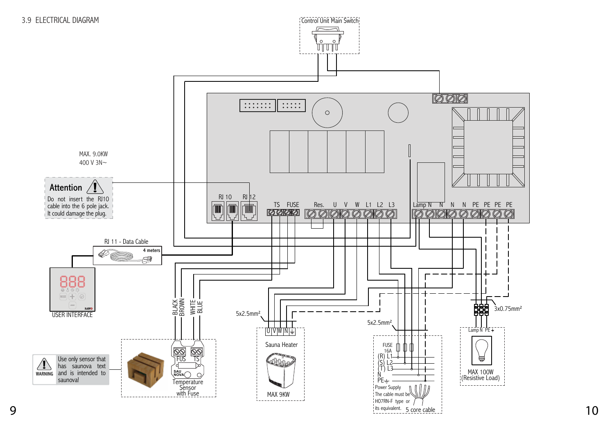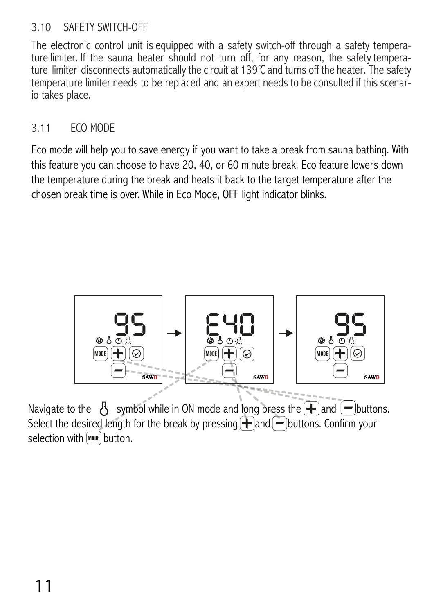## 3.10 SAFETY SWITCH-OFF

The electronic control unit is equipped with a safety switch-off through a safety temperature limiter. If the sauna heater should not turn off, for any reason, the safety temperature limiter disconnects automatically the c temperature limiter needs to be replaced and an expert needs to be consulted if this scenar- io takes place.

## 3.11 ECO MODE

Eco mode will help you to save energy if you want to take a break from sauna bathing. With this feature you can choose to have 20, 40, or 60 minute break. Eco feature lowers down the temperature during the break and heats it back to the target temperature after the chosen break time is over. While in Eco Mode, OFF light indicator blinks.



Navigate to the  $\beta$  symbol while in ON mode and long press the  $\ddot{\mathbf{+}}$  and  $(-)$  buttons. Select the desired length for the break by pressing  $\bigoplus$  and  $\bigoplus$  buttons. Confirm your selection with **MODE** button.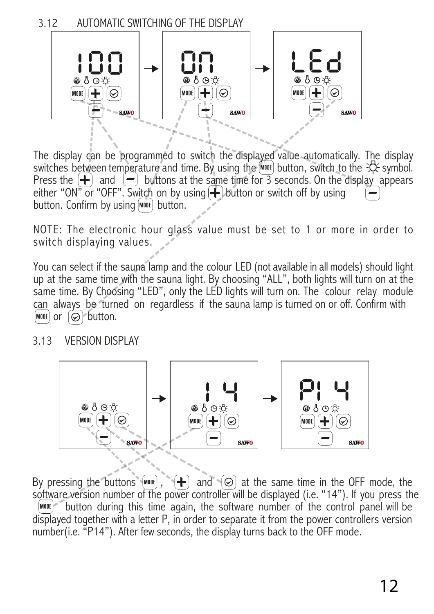3.12 AUTOMATIC SWITCHING OF THE DISPLAY



The display can be programmed to switch the displayed value automatically. The display switches between temperature and time. By using the  $\frac{1}{2}$  button, switch to the  $\frac{1}{2}$  symbol. Press the  $\leftarrow$  and  $\leftarrow$  buttons at the same time for 3 seconds. On the display appears either "ON" or "OFF". Switch on by using  $\bigoplus$  button or switch off by using button. Confirm by using  $\bigotimes_{n=1}^{\infty}$  button.

NOTE: The electronic hour glass value must be set to 1 or more in order to switch displaying values.

You can select if the sauna lamp and the colour LED (not available in all models) should light up at the same time with the sauna light. By choosing "ALL", both lights will turn on at the same time. By Choosing "LED", only the LED lights will turn on. The colour relay module can always be turned on regardless if the sauna lamp is turned on or off. Confirm with  $\text{[M00E]}$  or  $\text{[O]}$  button.

#### 3.13 VERSION DISPLAY



By pressing the buttons  $\binom{M00E}{M}$ ,  $\binom{L}{M}$  and  $\binom{C}{M}$  at the same time in the OFF mode, the software version number of the power controller will be displayed (i.e. "14"). If you press the  $[$ <sup> $\text{mott}$ </sup> $\degree$  button during this time again, the software number of the control panel will be displayed together with a letter P, in order to separate it from the power controllers version number(i.e. "P14"). After few seconds, the display turns back to the OFF mode.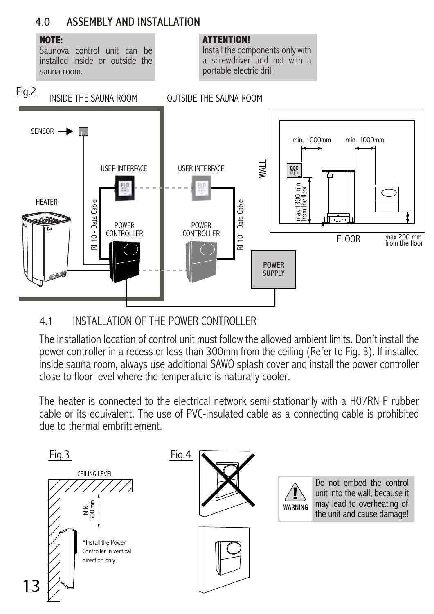## 4.0 ASSEMBLY AND INSTALLATION

#### **NOTE:**

Saunova control unit can be installed inside or outside the sauna room.

#### **ATTENTION!**

Install the components only with a screwdriver and not with a portable electric drill!



## 4.1 INSTALLATION OF THE POWER CONTROLLER

The installation location of control unit must follow the allowed ambient limits. Don't install the power controller in a recess or less than 300mm from the ceiling (Refer to Fig. 3). If installed inside sauna room, always use additional SAWO splash cover and install the power controller close to floor level where the temperature is naturally cooler.

The heater is connected to the electrical network semi-stationarily with a H07RN-F rubber cable or its equivalent. The use of PVC-insulated cable as a connecting cable is prohibited due to thermal embrittlement.

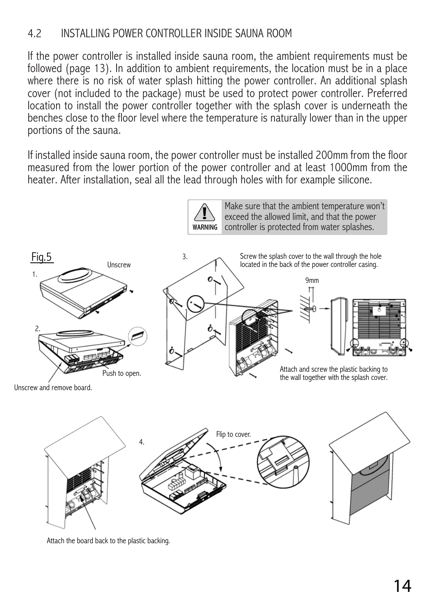## 4.2 INSTALLING POWER CONTROLLER INSIDE SAUNA ROOM

If the power controller is installed inside sauna room, the ambient requirements must be followed (page 13). In addition to ambient requirements, the location must be in a place where there is no risk of water splash hitting the power controller. An additional splash cover (not included to the package) must be used to protect power controller. Preferred location to install the power controller together with the splash cover is underneath the benches close to the floor level where the temperature is naturally lower than in the upper portions of the sauna.

If installed inside sauna room, the power controller must be installed 200mm from the floor measured from the lower portion of the power controller and at least 1000mm from the heater. After installation, seal all the lead through holes with for example silicone.



Attach the board back to the plastic backing.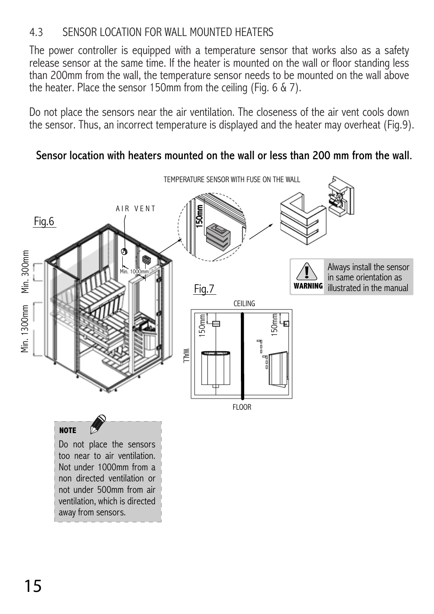## 4.3 SENSOR LOCATION FOR WALL MOUNTED HEATERS

The power controller is equipped with a temperature sensor that works also as a safety release sensor at the same time. If the heater is mounted on the wall or floor standing less than 200mm from the wall, the temperature sensor needs to be mounted on the wall above the heater. Place the sensor 150mm from the ceiling (Fig. 6 & 7).

Do not place the sensors near the air ventilation. The closeness of the air vent cools down the sensor. Thus, an incorrect temperature is displayed and the heater may overheat (Fig.9).

## Sensor location with heaters mounted on the wall or less than 200 mm from the wall.



ventilation, which is directed away from sensors.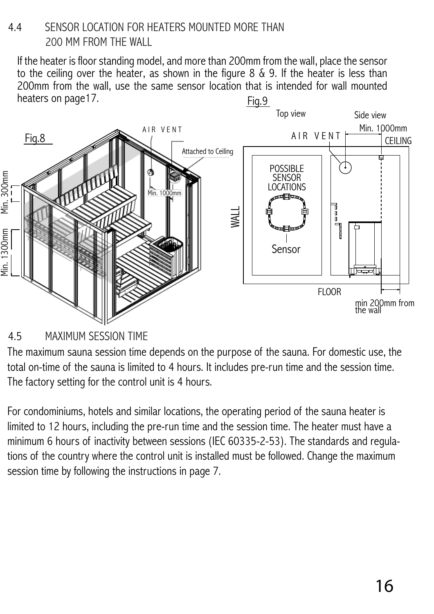## 4.4 SENSOR LOCATION FOR HEATERS MOUNTED MORE THAN 200 MM FROM THE WALL

If the heater is floor standing model, and more than 200mm from the wall, place the sensor to the ceiling over the heater, as shown in the figure 8 & 9. If the heater is less than 200mm from the wall, use the same sensor location that is intended for wall mounted heaters on page17. Fig.9



# 4.5 MAXIMUM SESSION TIME

The maximum sauna session time depends on the purpose of the sauna. For domestic use, the total on-time of the sauna is limited to 4 hours. It includes pre-run time and the session time. The factory setting for the control unit is 4 hours.

For condominiums, hotels and similar locations, the operating period of the sauna heater is limited to 12 hours, including the pre-run time and the session time. The heater must have a minimum 6 hours of inactivity between sessions (IEC 60335-2-53). The standards and regulations of the country where the control unit is installed must be followed. Change the maximum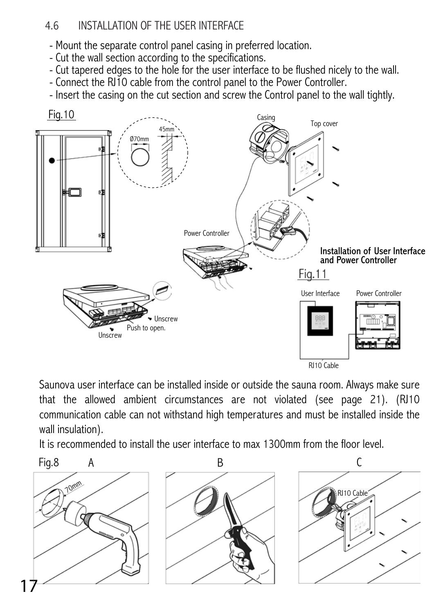## 4.6 INSTALLATION OF THE USER INTERFACE

- Mount the separate control panel casing in preferred location.
- Cut the wall section according to the specifications.
- Cut tapered edges to the hole for the user interface to be flushed nicely to the wall.
- Connect the RJ10 cable from the control panel to the Power Controller.
- Insert the casing on the cut section and screw the Control panel to the wall tightly.



Saunova user interface can be installed inside or outside the sauna room. Always make sure that the allowed ambient circumstances are not violated (see page 21). (RJ10 communication cable can not withstand high temperatures and must be installed inside the wall insulation).

It is recommended to install the user interface to max 1300mm from the floor level.

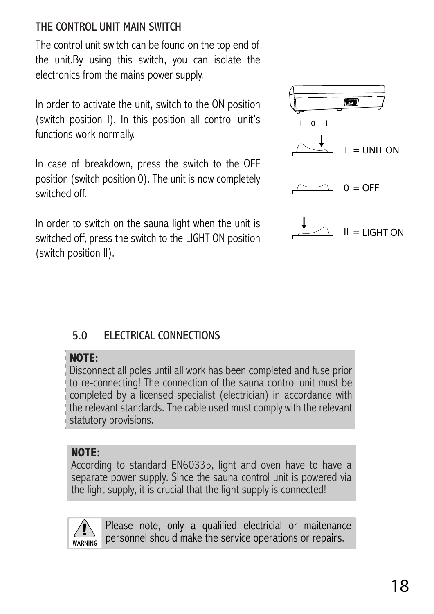# THE CONTROL UNIT MAIN SWITCH

The control unit switch can be found on the top end of the unit.By using this switch, you can isolate the electronics from the mains power supply.

In order to activate the unit, switch to the ON position (switch position I). In this position all control unit's functions work normally.

In case of breakdown, press the switch to the OFF position (switch position 0). The unit is now completely switched off.

In order to switch on the sauna light when the unit is switched off, press the switch to the LIGHT ON position (switch position II).



# 5.0 ELECTRICAL CONNECTIONS

# **NOTE:**

Disconnect all poles until all work has been completed and fuse prior to re-connecting! The connection of the sauna control unit must be completed by a licensed specialist (electrician) in accordance with the relevant standards. The cable used must comply with the relevant statutory provisions.

## **NOTE:**

According to standard EN60335, light and oven have to have a separate power supply. Since the sauna control unit is powered via the light supply, it is crucial that the light supply is connected!



Please note, only a qualified electricial or maitenance personnel should make the service operations or repairs.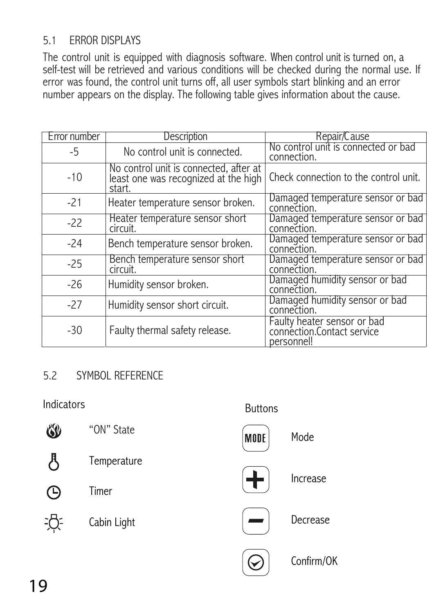## 5.1 ERROR DISPLAYS

The control unit is equipped with diagnosis software. When control unit is turned on, a self-test will be retrieved and various conditions will be checked during the normal use. If error was found, the control unit turns off, all user symbols start blinking and an error number appears on the display. The following table gives information about the cause.

| Error number | Description                                                                              | Repair/Cause                                                            |
|--------------|------------------------------------------------------------------------------------------|-------------------------------------------------------------------------|
| -5           | No control unit is connected.                                                            | No control unit is connected or bad<br>connection.                      |
| $-10$        | No control unit is connected, after at<br>least one was recognized at the high<br>start. | Check connection to the control unit.                                   |
| $-21$        | Heater temperature sensor broken.                                                        | Damaged temperature sensor or bad<br>connection.                        |
| $-22$        | Heater temperature sensor short<br>circuit.                                              | Damaged temperature sensor or bad<br>connection.                        |
| $-24$        | Bench temperature sensor broken.                                                         | Damaged temperature sensor or bad<br>connection.                        |
| $-25$        | Bench temperature sensor short<br>circuit.                                               | Damaged temperature sensor or bad<br>connection.                        |
| $-26$        | Humidity sensor broken.                                                                  | Damaged humidity sensor or bad<br>connection.                           |
| $-27$        | Humidity sensor short circuit.                                                           | Damaged humidity sensor or bad<br>connection.                           |
| $-30$        | Faulty thermal safety release.                                                           | Faulty heater sensor or bad<br>connection.Contact service<br>personnel! |

## 5.2 SYMBOL REFERENCE

Indicators **Buttons** 

| 6 <sup>y</sup> | "ON" State  |
|----------------|-------------|
| ハ              | Temperature |
| (L)            | Timer       |
| 沪.             | Cabin Light |
|                |             |

MODE



Increase

Mode



Decrease



Confirm/OK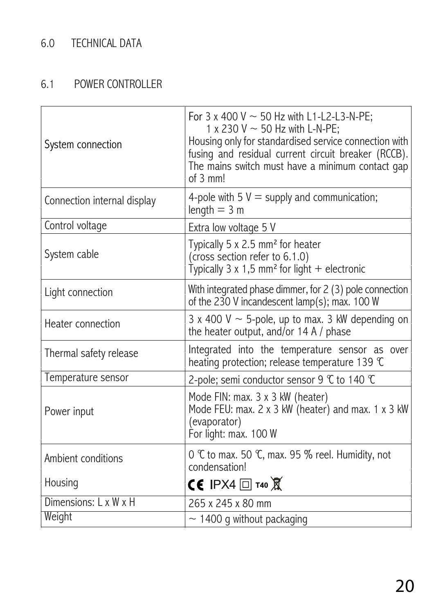# 6.0 TECHNICAL DATA

# 6.1 POWER CONTROLLER

| System connection           | For 3 x 400 V $\sim$ 50 Hz with L1-L2-L3-N-PE;<br>1 x 230 V $\sim$ 50 Hz with L-N-PE;<br>Housing only for standardised service connection with<br>fusing and residual current circuit breaker (RCCB).<br>The mains switch must have a minimum contact gap<br>of 3 mm! |
|-----------------------------|-----------------------------------------------------------------------------------------------------------------------------------------------------------------------------------------------------------------------------------------------------------------------|
| Connection internal display | 4-pole with 5 $V =$ supply and communication;<br>length $=$ 3 m                                                                                                                                                                                                       |
| Control voltage             | Extra low voltage 5 V                                                                                                                                                                                                                                                 |
| System cable                | Typically 5 x 2.5 mm <sup>2</sup> for heater<br>(cross section refer to 6.1.0)<br>Typically 3 x 1,5 mm <sup>2</sup> for light + electronic                                                                                                                            |
| Light connection            | With integrated phase dimmer, for 2 (3) pole connection<br>of the 230 V incandescent lamp(s); max. 100 W                                                                                                                                                              |
| Heater connection           | 3 x 400 V $\sim$ 5-pole, up to max. 3 kW depending on<br>the heater output, and/or 14 A / phase                                                                                                                                                                       |
| Thermal safety release      | Integrated into the temperature sensor as over<br>heating protection; release temperature 139 °C                                                                                                                                                                      |
| Temperature sensor          | 2-pole; semi conductor sensor 9 $\mathfrak C$ to 140 $\mathfrak C$                                                                                                                                                                                                    |
| Power input                 | Mode FIN: max. 3 x 3 kW (heater)<br>Mode FEU: max. 2 x 3 kW (heater) and max. 1 x 3 kW<br>(evaporator)<br>For light: max. 100 W                                                                                                                                       |
| Ambient conditions          | 0 $\mathfrak C$ to max. 50 $\mathfrak C$ , max. 95 % reel. Humidity, not<br>condensation!                                                                                                                                                                             |
| Housing                     | <b>CE IPX4</b> $\Box$ t40 $\overline{\mathbb{X}}$                                                                                                                                                                                                                     |
| Dimensions: L x W x H       | 265 x 245 x 80 mm                                                                                                                                                                                                                                                     |
| Weight                      | $\sim$ 1400 g without packaging                                                                                                                                                                                                                                       |